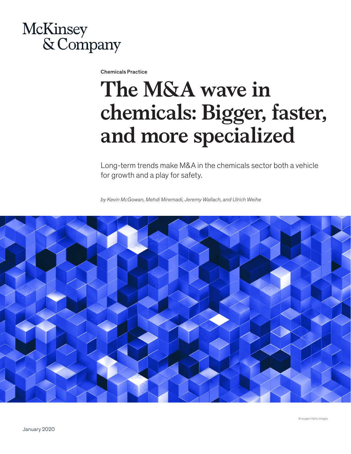

Chemicals Practice

## **The M&A wave in chemicals: Bigger, faster, and more specialized**

Long-term trends make M&A in the chemicals sector both a vehicle for growth and a play for safety.

*by Kevin McGowan, Mehdi Miremadi, Jeremy Wallach, and Ulrich Weihe*



© oxygen/Getty Images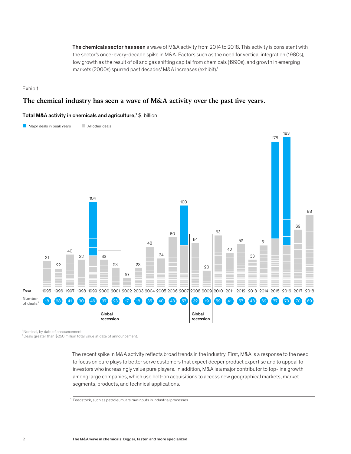The chemicals sector has seen a wave of M&A activity from 2014 to 2018. This activity is consistent with the sector's once-every-decade spike in M&A. Factors such as the need for vertical integration (1980s), low growth as the result of oil and gas shifting capital from chemicals (1990s), and growth in emerging markets (2000s) spurred past decades' M&A increases (exhibit).<sup>1</sup>

Exhibit

## The chemical industry has seen a wave of M&A activity over the past five years.

## Total M&A activity in chemicals and agriculture,<sup>1</sup> \$, billion



<sup>1</sup> Nominal, by date of announcement.

²Deals greater than \$250 million total value at date of announcement.

The recent spike in M&A activity reflects broad trends in the industry. First, M&A is a response to the need to focus on pure plays to better serve customers that expect deeper product expertise and to appeal to investors who increasingly value pure players. In addition, M&A is a major contributor to top-line growth among large companies, which use bolt-on acquisitions to access new geographical markets, market segments, products, and technical applications.

<sup>&</sup>lt;sup>1</sup> Feedstock, such as petroleum, are raw inputs in industrial processes.